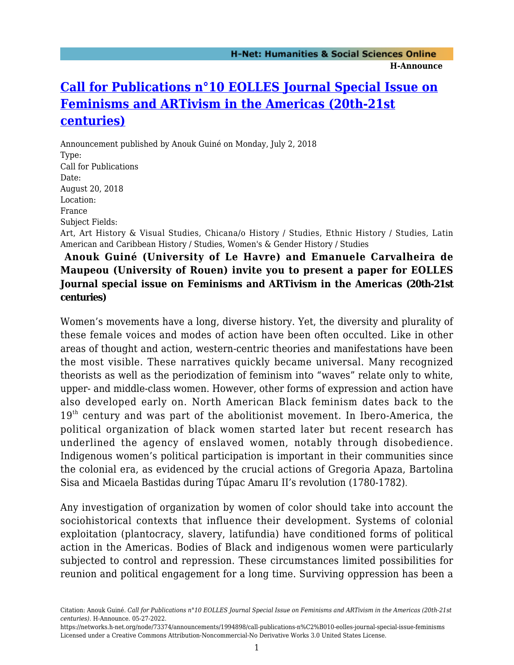#### **H-Announce**

# **[Call for Publications n°10 EOLLES Journal Special Issue on](https://networks.h-net.org/node/73374/announcements/1994898/call-publications-n%C2%B010-eolles-journal-special-issue-feminisms) [Feminisms and ARTivism in the Americas \(20th-21st](https://networks.h-net.org/node/73374/announcements/1994898/call-publications-n%C2%B010-eolles-journal-special-issue-feminisms) [centuries\)](https://networks.h-net.org/node/73374/announcements/1994898/call-publications-n%C2%B010-eolles-journal-special-issue-feminisms)**

Announcement published by Anouk Guiné on Monday, July 2, 2018 Type: Call for Publications Date: August 20, 2018 Location: France Subject Fields: Art, Art History & Visual Studies, Chicana/o History / Studies, Ethnic History / Studies, Latin American and Caribbean History / Studies, Women's & Gender History / Studies

# **Anouk Guiné (University of Le Havre) and Emanuele Carvalheira de Maupeou (University of Rouen) invite you to present a paper for EOLLES Journal special issue on Feminisms and ARTivism in the Americas (20th-21st centuries)**

Women's movements have a long, diverse history. Yet, the diversity and plurality of these female voices and modes of action have been often occulted. Like in other areas of thought and action, western-centric theories and manifestations have been the most visible. These narratives quickly became universal. Many recognized theorists as well as the periodization of feminism into "waves" relate only to white, upper- and middle-class women. However, other forms of expression and action have also developed early on. North American Black feminism dates back to the  $19<sup>th</sup>$  century and was part of the abolitionist movement. In Ibero-America, the political organization of black women started later but recent research has underlined the agency of enslaved women, notably through disobedience. Indigenous women's political participation is important in their communities since the colonial era, as evidenced by the crucial actions of Gregoria Apaza, Bartolina Sisa and Micaela Bastidas during Túpac Amaru II's revolution (1780-1782).

Any investigation of organization by women of color should take into account the sociohistorical contexts that influence their development. Systems of colonial exploitation (plantocracy, slavery, latifundia) have conditioned forms of political action in the Americas. Bodies of Black and indigenous women were particularly subjected to control and repression. These circumstances limited possibilities for reunion and political engagement for a long time. Surviving oppression has been a

Citation: Anouk Guiné. *Call for Publications n°10 EOLLES Journal Special Issue on Feminisms and ARTivism in the Americas (20th-21st centuries)*. H-Announce. 05-27-2022.

https://networks.h-net.org/node/73374/announcements/1994898/call-publications-n%C2%B010-eolles-journal-special-issue-feminisms Licensed under a Creative Commons Attribution-Noncommercial-No Derivative Works 3.0 United States License.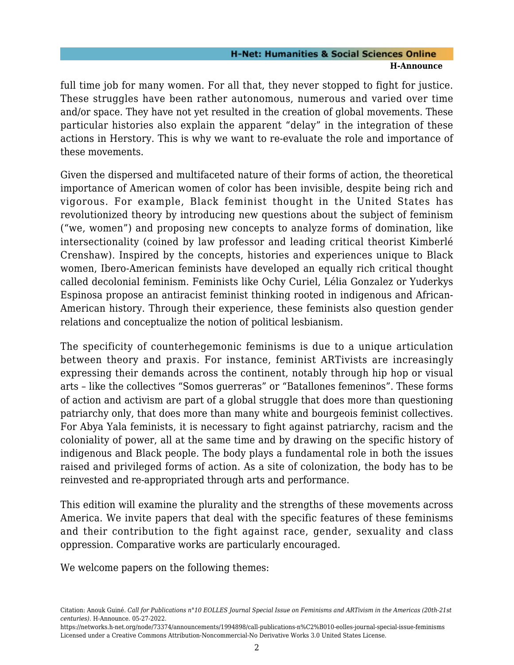### **H-Net: Humanities & Social Sciences Online H-Announce**

full time job for many women. For all that, they never stopped to fight for justice. These struggles have been rather autonomous, numerous and varied over time and/or space. They have not yet resulted in the creation of global movements. These particular histories also explain the apparent "delay" in the integration of these actions in Herstory. This is why we want to re-evaluate the role and importance of these movements.

Given the dispersed and multifaceted nature of their forms of action, the theoretical importance of American women of color has been invisible, despite being rich and vigorous. For example, Black feminist thought in the United States has revolutionized theory by introducing new questions about the subject of feminism ("we, women") and proposing new concepts to analyze forms of domination, like intersectionality (coined by law professor and leading critical theorist Kimberlé Crenshaw). Inspired by the concepts, histories and experiences unique to Black women, Ibero-American feminists have developed an equally rich critical thought called decolonial feminism. Feminists like Ochy Curiel, Lélia Gonzalez or Yuderkys Espinosa propose an antiracist feminist thinking rooted in indigenous and African-American history. Through their experience, these feminists also question gender relations and conceptualize the notion of political lesbianism.

The specificity of counterhegemonic feminisms is due to a unique articulation between theory and praxis. For instance, feminist ARTivists are increasingly expressing their demands across the continent, notably through hip hop or visual arts – like the collectives "Somos guerreras" or "Batallones femeninos". These forms of action and activism are part of a global struggle that does more than questioning patriarchy only, that does more than many white and bourgeois feminist collectives. For Abya Yala feminists, it is necessary to fight against patriarchy, racism and the coloniality of power, all at the same time and by drawing on the specific history of indigenous and Black people. The body plays a fundamental role in both the issues raised and privileged forms of action. As a site of colonization, the body has to be reinvested and re-appropriated through arts and performance.

This edition will examine the plurality and the strengths of these movements across America. We invite papers that deal with the specific features of these feminisms and their contribution to the fight against race, gender, sexuality and class oppression. Comparative works are particularly encouraged.

We welcome papers on the following themes:

Citation: Anouk Guiné. *Call for Publications n°10 EOLLES Journal Special Issue on Feminisms and ARTivism in the Americas (20th-21st centuries)*. H-Announce. 05-27-2022.

https://networks.h-net.org/node/73374/announcements/1994898/call-publications-n%C2%B010-eolles-journal-special-issue-feminisms Licensed under a Creative Commons Attribution-Noncommercial-No Derivative Works 3.0 United States License.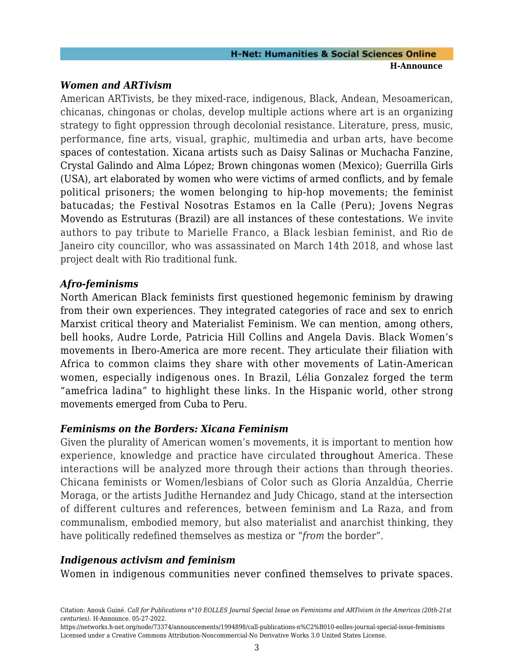## *Women and ARTivism*

American ARTivists, be they mixed-race, indigenous, Black, Andean, Mesoamerican, chicanas, chingonas or cholas, develop multiple actions where art is an organizing strategy to fight oppression through decolonial resistance. Literature, press, music, performance, fine arts, visual, graphic, multimedia and urban arts, have become spaces of contestation. Xicana artists such as Daisy Salinas or Muchacha Fanzine, Crystal Galindo and Alma López; Brown chingonas women (Mexico); Guerrilla Girls (USA), art elaborated by women who were victims of armed conflicts, and by female political prisoners; the women belonging to hip-hop movements; the feminist batucadas; the Festival Nosotras Estamos en la Calle (Peru); Jovens Negras Movendo as Estruturas (Brazil) are all instances of these contestations. We invite authors to pay tribute to Marielle Franco, a Black lesbian feminist, and Rio de Janeiro city councillor, who was assassinated on March 14th 2018, and whose last project dealt with Rio traditional funk.

## *Afro-feminisms*

North American Black feminists first questioned hegemonic feminism by drawing from their own experiences. They integrated categories of race and sex to enrich Marxist critical theory and Materialist Feminism. We can mention, among others, bell hooks, Audre Lorde, Patricia Hill Collins and Angela Davis. Black Women's movements in Ibero-America are more recent. They articulate their filiation with Africa to common claims they share with other movements of Latin-American women, especially indigenous ones. In Brazil, Lélia Gonzalez forged the term "amefrica ladina" to highlight these links. In the Hispanic world, other strong movements emerged from Cuba to Peru.

# *Feminisms on the Borders: Xicana Feminism*

Given the plurality of American women's movements, it is important to mention how experience, knowledge and practice have circulated throughout America. These interactions will be analyzed more through their actions than through theories. Chicana feminists or Women/lesbians of Color such as Gloria Anzaldúa, Cherrie Moraga, or the artists Judithe Hernandez and Judy Chicago, stand at the intersection of different cultures and references, between feminism and La Raza, and from communalism, embodied memory, but also materialist and anarchist thinking, they have politically redefined themselves as mestiza or "*from* the border".

# *Indigenous activism and feminism*

Women in indigenous communities never confined themselves to private spaces.

https://networks.h-net.org/node/73374/announcements/1994898/call-publications-n%C2%B010-eolles-journal-special-issue-feminisms Licensed under a Creative Commons Attribution-Noncommercial-No Derivative Works 3.0 United States License.